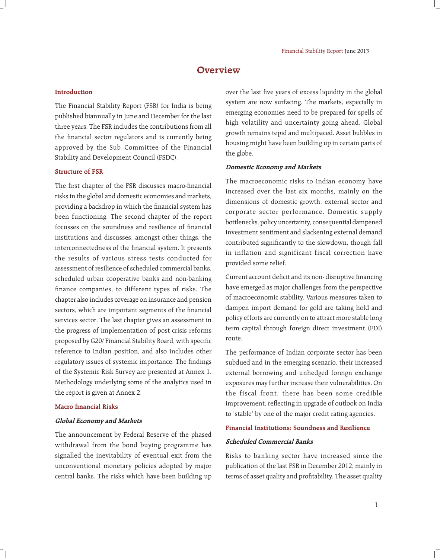# **Overview**

#### **Introduction**

The Financial Stability Report (FSR) for India is being published biannually in June and December for the last three years. The FSR includes the contributions from all the financial sector regulators and is currently being approved by the Sub–Committee of the Financial Stability and Development Council (FSDC).

## **Structure of FSR**

The first chapter of the FSR discusses macro-financial risks in the global and domestic economies and markets, providing a backdrop in which the financial system has been functioning. The second chapter of the report focusses on the soundness and resilience of financial institutions and discusses, amongst other things, the interconnectedness of the financial system. It presents the results of various stress tests conducted for assessment of resilience of scheduled commercial banks, scheduled urban cooperative banks and non-banking finance companies, to different types of risks. The chapter also includes coverage on insurance and pension sectors, which are important segments of the financial services sector. The last chapter gives an assessment in the progress of implementation of post crisis reforms proposed by G20/ Financial Stability Board, with specific reference to Indian position, and also includes other regulatory issues of systemic importance. The findings of the Systemic Risk Survey are presented at Annex 1. Methodology underlying some of the analytics used in the report is given at Annex 2.

## **Macro financial Risks**

## **Global Economy and Markets**

The announcement by Federal Reserve of the phased withdrawal from the bond buying programme has signalled the inevitability of eventual exit from the unconventional monetary policies adopted by major central banks. The risks which have been building up over the last five vears of excess liquidity in the global system are now surfacing. The markets, especially in emerging economies need to be prepared for spells of high volatility and uncertainty going ahead. Global growth remains tepid and multipaced. Asset bubbles in housing might have been building up in certain parts of the globe.

#### **Domestic Economy and Markets**

The macroeconomic risks to Indian economy have increased over the last six months, mainly on the dimensions of domestic growth, external sector and corporate sector performance. Domestic supply bottlenecks, policy uncertainty, consequential dampened investment sentiment and slackening external demand contributed significantly to the slowdown, though fall in inflation and significant fiscal correction have provided some relief.

Current account deficit and its non- disruptive financing have emerged as major challenges from the perspective of macroeconomic stability. Various measures taken to dampen import demand for gold are taking hold and policy efforts are currently on to attract more stable long term capital through foreign direct investment (FDI) route.

The performance of Indian corporate sector has been subdued and in the emerging scenario, their increased external borrowing and unhedged foreign exchange exposures may further increase their vulnerabilities. On the fiscal front, there has been some credible improvement, reflecting in upgrade of outlook on India to 'stable' by one of the major credit rating agencies.

#### **Financial Institutions: Soundness and Resilience**

#### **Scheduled Commercial Banks**

Risks to banking sector have increased since the publication of the last FSR in December 2012, mainly in terms of asset quality and profitability. The asset quality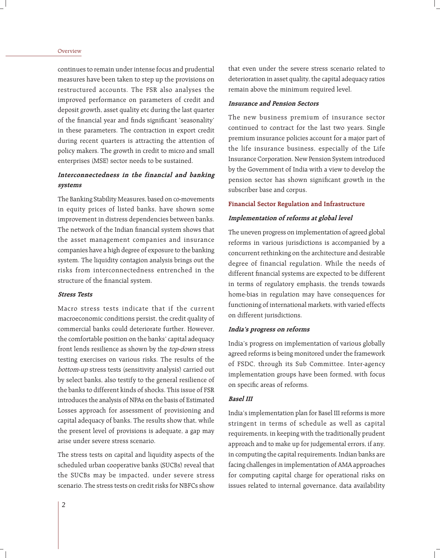#### Overview

continues to remain under intense focus and prudential measures have been taken to step up the provisions on restructured accounts. The FSR also analyses the improved performance on parameters of credit and deposit growth, asset quality etc during the last quarter of the financial year and finds significant 'seasonality' in these parameters. The contraction in export credit during recent quarters is attracting the attention of policy makers. The growth in credit to micro and small enterprises (MSE) sector needs to be sustained.

## **Interconnectedness in the financial and banking systems**

The Banking Stability Measures, based on co-movements in equity prices of listed banks, have shown some improvement in distress dependencies between banks. The network of the Indian financial system shows that the asset management companies and insurance companies have a high degree of exposure to the banking system. The liquidity contagion analysis brings out the risks from interconnectedness entrenched in the structure of the financial system.

## **Stress Tests**

Macro stress tests indicate that if the current macroeconomic conditions persist, the credit quality of commercial banks could deteriorate further. However, the comfortable position on the banks' capital adequacy front lends resilience as shown by the top-down stress testing exercises on various risks. The results of the bottom-up stress tests (sensitivity analysis) carried out by select banks, also testify to the general resilience of the banks to different kinds of shocks. This issue of FSR introduces the analysis of NPAs on the basis of Estimated Losses approach for assessment of provisioning and capital adequacy of banks. The results show that, while the present level of provisions is adequate, a gap may arise under severe stress scenario.

The stress tests on capital and liquidity aspects of the scheduled urban cooperative banks (SUCBs) reveal that the SUCBs may be impacted, under severe stress scenario. The stress tests on credit risks for NBFCs show

that even under the severe stress scenario related to deterioration in asset quality, the capital adequacy ratios remain above the minimum required level.

#### **Insurance and Pension Sectors**

The new business premium of insurance sector continued to contract for the last two years. Single premium insurance policies account for a major part of the life insurance business, especially of the Life Insurance Corporation. New Pension System introduced by the Government of India with a view to develop the pension sector has shown significant growth in the subscriber base and corpus.

#### **Financial Sector Regulation and Infrastructure**

## **Implementation of reforms at global level**

The uneven progress on implementation of agreed global reforms in various jurisdictions is accompanied by a concurrent rethinking on the architecture and desirable degree of financial regulation. While the needs of different financial systems are expected to be different in terms of regulatory emphasis, the trends towards home-bias in regulation may have consequences for functioning of international markets, with varied effects on different jurisdictions.

#### **India's progress on reforms**

India's progress on implementation of various globally agreed reforms is being monitored under the framework of FSDC, through its Sub Committee. Inter-agency implementation groups have been formed, with focus on specific areas of reforms.

## **Basel III**

India's implementation plan for Basel III reforms is more stringent in terms of schedule as well as capital requirements, in keeping with the traditionally prudent approach and to make up for judgemental errors, if any, in computing the capital requirements. Indian banks are facing challenges in implementation of AMA approaches for computing capital charge for operational risks on issues related to internal governance, data availability